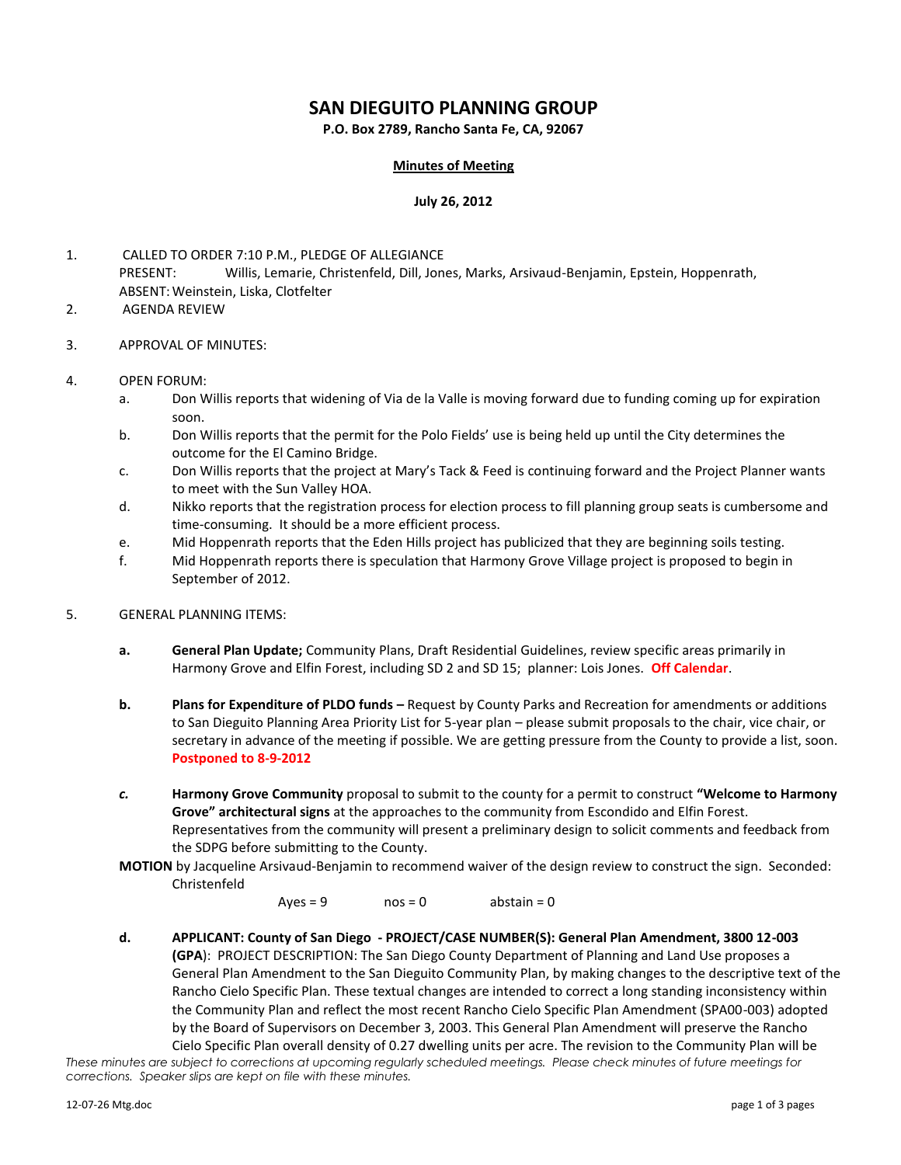# **SAN DIEGUITO PLANNING GROUP**

**P.O. Box 2789, Rancho Santa Fe, CA, 92067**

#### **Minutes of Meeting**

#### **July 26, 2012**

- 1. CALLED TO ORDER 7:10 P.M., PLEDGE OF ALLEGIANCE PRESENT: Willis, Lemarie, Christenfeld, Dill, Jones, Marks, Arsivaud-Benjamin, Epstein, Hoppenrath, ABSENT:Weinstein, Liska, Clotfelter
- 2. AGENDA REVIEW
- 3. APPROVAL OF MINUTES:
- 4. OPEN FORUM:
	- a. Don Willis reports that widening of Via de la Valle is moving forward due to funding coming up for expiration soon.
	- b. Don Willis reports that the permit for the Polo Fields' use is being held up until the City determines the outcome for the El Camino Bridge.
	- c. Don Willis reports that the project at Mary's Tack & Feed is continuing forward and the Project Planner wants to meet with the Sun Valley HOA.
	- d. Nikko reports that the registration process for election process to fill planning group seats is cumbersome and time-consuming. It should be a more efficient process.
	- e. Mid Hoppenrath reports that the Eden Hills project has publicized that they are beginning soils testing.
	- f. Mid Hoppenrath reports there is speculation that Harmony Grove Village project is proposed to begin in September of 2012.
- 5. GENERAL PLANNING ITEMS:
	- **a. General Plan Update;** Community Plans, Draft Residential Guidelines, review specific areas primarily in Harmony Grove and Elfin Forest, including SD 2 and SD 15; planner: Lois Jones. **Off Calendar**.
	- **b. Plans for Expenditure of PLDO funds –** Request by County Parks and Recreation for amendments or additions to San Dieguito Planning Area Priority List for 5-year plan – please submit proposals to the chair, vice chair, or secretary in advance of the meeting if possible. We are getting pressure from the County to provide a list, soon. **Postponed to 8-9-2012**
	- *c.* **Harmony Grove Community** proposal to submit to the county for a permit to construct **"Welcome to Harmony Grove" architectural signs** at the approaches to the community from Escondido and Elfin Forest. Representatives from the community will present a preliminary design to solicit comments and feedback from the SDPG before submitting to the County.
	- **MOTION** by Jacqueline Arsivaud-Benjamin to recommend waiver of the design review to construct the sign. Seconded: Christenfeld

Ayes = 9 nos = 0 abstain = 0

**d. APPLICANT: County of San Diego - PROJECT/CASE NUMBER(S): General Plan Amendment, 3800 12-003 (GPA**): PROJECT DESCRIPTION: The San Diego County Department of Planning and Land Use proposes a General Plan Amendment to the San Dieguito Community Plan, by making changes to the descriptive text of the Rancho Cielo Specific Plan. These textual changes are intended to correct a long standing inconsistency within the Community Plan and reflect the most recent Rancho Cielo Specific Plan Amendment (SPA00-003) adopted by the Board of Supervisors on December 3, 2003. This General Plan Amendment will preserve the Rancho Cielo Specific Plan overall density of 0.27 dwelling units per acre. The revision to the Community Plan will be

*These minutes are subject to corrections at upcoming regularly scheduled meetings. Please check minutes of future meetings for corrections. Speaker slips are kept on file with these minutes.*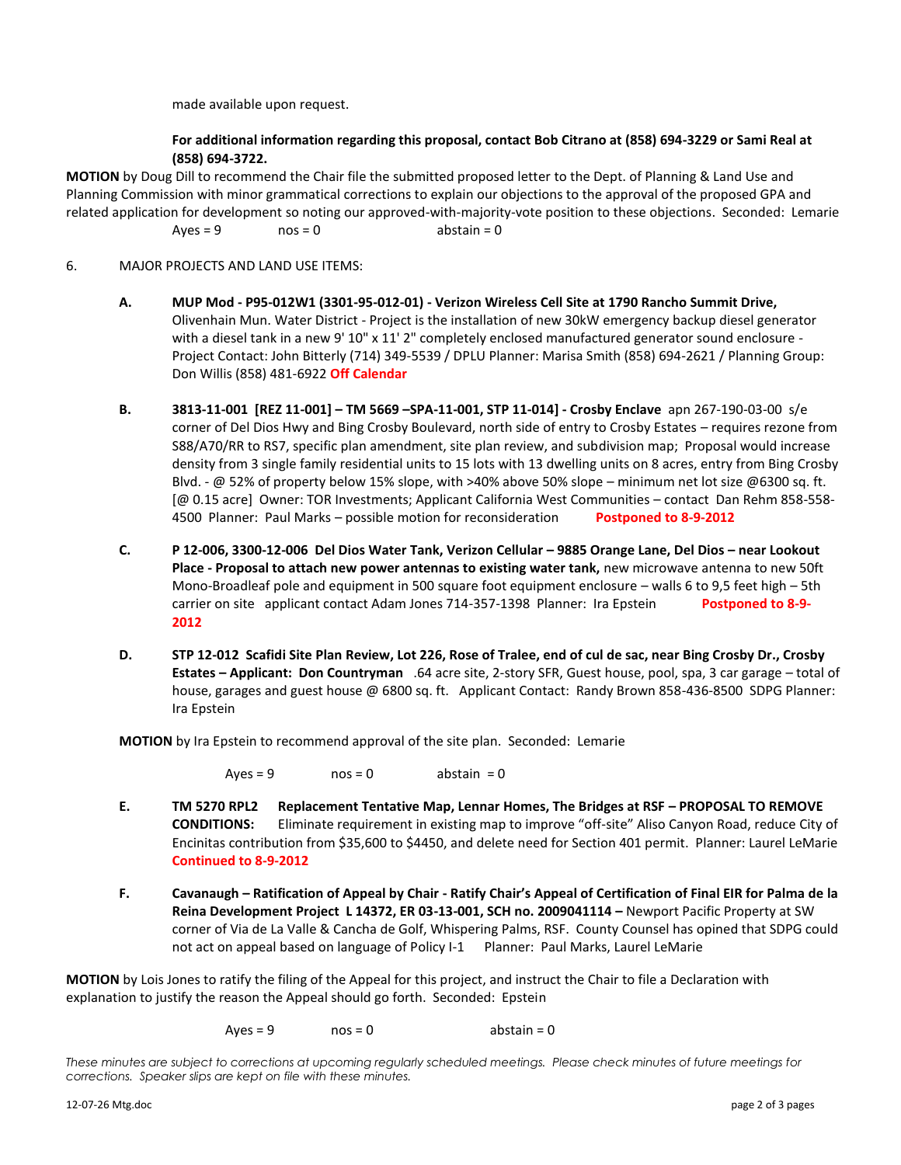made available upon request.

### **For additional information regarding this proposal, contact Bob Citrano at (858) 694-3229 or Sami Real at (858) 694-3722.**

**MOTION** by Doug Dill to recommend the Chair file the submitted proposed letter to the Dept. of Planning & Land Use and Planning Commission with minor grammatical corrections to explain our objections to the approval of the proposed GPA and related application for development so noting our approved-with-majority-vote position to these objections. Seconded: Lemarie  $Aves = 9$   $nos = 0$  abstain = 0

### 6. MAJOR PROJECTS AND LAND USE ITEMS:

- **A. MUP Mod - P95-012W1 (3301-95-012-01) - Verizon Wireless Cell Site at 1790 Rancho Summit Drive,**  Olivenhain Mun. Water District - Project is the installation of new 30kW emergency backup diesel generator with a diesel tank in a new 9' 10" x 11' 2" completely enclosed manufactured generator sound enclosure -Project Contact: John Bitterly (714) 349-5539 / DPLU Planner: Marisa Smith (858) 694-2621 / Planning Group: Don Willis (858) 481-6922 **Off Calendar**
- **B. 3813-11-001 [REZ 11-001] – TM 5669 –SPA-11-001, STP 11-014] - Crosby Enclave** apn 267-190-03-00 s/e corner of Del Dios Hwy and Bing Crosby Boulevard, north side of entry to Crosby Estates – requires rezone from S88/A70/RR to RS7, specific plan amendment, site plan review, and subdivision map; Proposal would increase density from 3 single family residential units to 15 lots with 13 dwelling units on 8 acres, entry from Bing Crosby Blvd. - @ 52% of property below 15% slope, with >40% above 50% slope – minimum net lot size @6300 sq. ft. [@ 0.15 acre] Owner: TOR Investments; Applicant California West Communities – contact Dan Rehm 858-558- 4500 Planner: Paul Marks – possible motion for reconsideration **Postponed to 8-9-2012**
- **C. P 12-006, 3300-12-006 Del Dios Water Tank, Verizon Cellular – 9885 Orange Lane, Del Dios – near Lookout Place - Proposal to attach new power antennas to existing water tank,** new microwave antenna to new 50ft Mono-Broadleaf pole and equipment in 500 square foot equipment enclosure – walls 6 to 9,5 feet high – 5th carrier on site applicant contact Adam Jones 714-357-1398 Planner: Ira Epstein Postponed to 8-9-**2012**
- **D. STP 12-012 Scafidi Site Plan Review, Lot 226, Rose of Tralee, end of cul de sac, near Bing Crosby Dr., Crosby Estates – Applicant: Don Countryman** .64 acre site, 2-story SFR, Guest house, pool, spa, 3 car garage – total of house, garages and guest house @ 6800 sq. ft. Applicant Contact: Randy Brown 858-436-8500 SDPG Planner: Ira Epstein

**MOTION** by Ira Epstein to recommend approval of the site plan. Seconded: Lemarie

 $Ayes = 9$  nos = 0 abstain = 0

- **E. TM 5270 RPL2 Replacement Tentative Map, Lennar Homes, The Bridges at RSF – PROPOSAL TO REMOVE CONDITIONS:** Eliminate requirement in existing map to improve "off-site" Aliso Canyon Road, reduce City of Encinitas contribution from \$35,600 to \$4450, and delete need for Section 401 permit. Planner: Laurel LeMarie **Continued to 8-9-2012**
- **F. Cavanaugh – Ratification of Appeal by Chair - Ratify Chair's Appeal of Certification of Final EIR for Palma de la Reina Development Project L 14372, ER 03-13-001, SCH no. 2009041114 –** Newport Pacific Property at SW corner of Via de La Valle & Cancha de Golf, Whispering Palms, RSF. County Counsel has opined that SDPG could not act on appeal based on language of Policy I-1 Planner: Paul Marks, Laurel LeMarie

**MOTION** by Lois Jones to ratify the filing of the Appeal for this project, and instruct the Chair to file a Declaration with explanation to justify the reason the Appeal should go forth. Seconded: Epstein

 $Aves = 9$   $nos = 0$  abstain = 0

*These minutes are subject to corrections at upcoming regularly scheduled meetings. Please check minutes of future meetings for corrections. Speaker slips are kept on file with these minutes.*